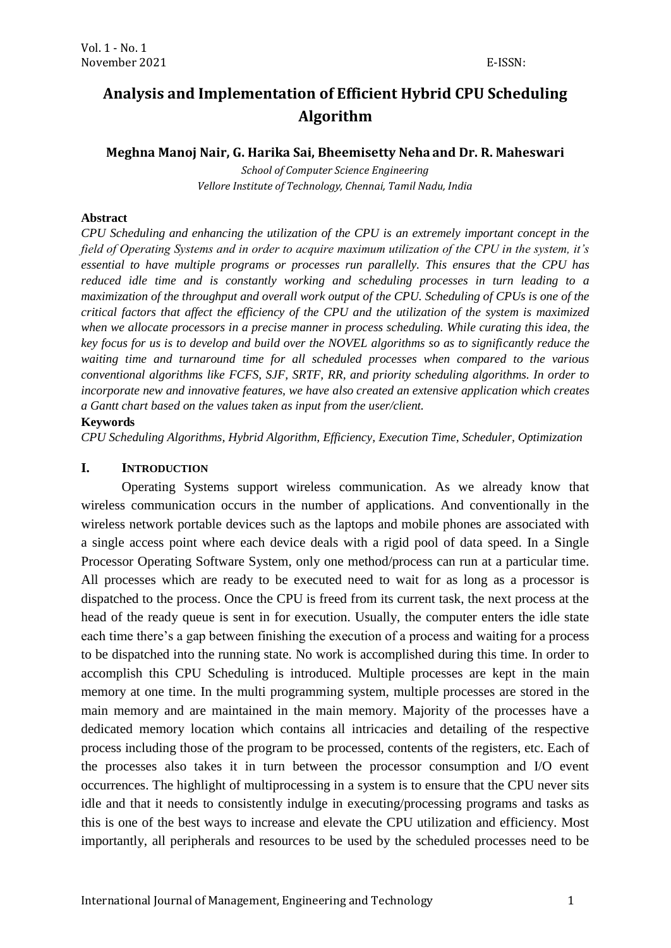# **Analysis and Implementation of Efficient Hybrid CPU Scheduling Algorithm**

**Meghna Manoj Nair, G. Harika Sai, Bheemisetty Neha and Dr. R. Maheswari**

*School of Computer Science Engineering Vellore Institute of Technology, Chennai, Tamil Nadu, India*

#### **Abstract**

*CPU Scheduling and enhancing the utilization of the CPU is an extremely important concept in the field of Operating Systems and in order to acquire maximum utilization of the CPU in the system, it's essential to have multiple programs or processes run parallelly. This ensures that the CPU has reduced idle time and is constantly working and scheduling processes in turn leading to a maximization of the throughput and overall work output of the CPU. Scheduling of CPUs is one of the critical factors that affect the efficiency of the CPU and the utilization of the system is maximized when we allocate processors in a precise manner in process scheduling. While curating this idea, the key focus for us is to develop and build over the NOVEL algorithms so as to significantly reduce the waiting time and turnaround time for all scheduled processes when compared to the various conventional algorithms like FCFS, SJF, SRTF, RR, and priority scheduling algorithms. In order to incorporate new and innovative features, we have also created an extensive application which creates a Gantt chart based on the values taken as input from the user/client.*

#### **Keywords**

*CPU Scheduling Algorithms, Hybrid Algorithm, Efficiency, Execution Time, Scheduler, Optimization*

#### **I. INTRODUCTION**

Operating Systems support wireless communication. As we already know that wireless communication occurs in the number of applications. And conventionally in the wireless network portable devices such as the laptops and mobile phones are associated with a single access point where each device deals with a rigid pool of data speed. In a Single Processor Operating Software System, only one method/process can run at a particular time. All processes which are ready to be executed need to wait for as long as a processor is dispatched to the process. Once the CPU is freed from its current task, the next process at the head of the ready queue is sent in for execution. Usually, the computer enters the idle state each time there's a gap between finishing the execution of a process and waiting for a process to be dispatched into the running state. No work is accomplished during this time. In order to accomplish this CPU Scheduling is introduced. Multiple processes are kept in the main memory at one time. In the multi programming system, multiple processes are stored in the main memory and are maintained in the main memory. Majority of the processes have a dedicated memory location which contains all intricacies and detailing of the respective process including those of the program to be processed, contents of the registers, etc. Each of the processes also takes it in turn between the processor consumption and I/O event occurrences. The highlight of multiprocessing in a system is to ensure that the CPU never sits idle and that it needs to consistently indulge in executing/processing programs and tasks as this is one of the best ways to increase and elevate the CPU utilization and efficiency. Most importantly, all peripherals and resources to be used by the scheduled processes need to be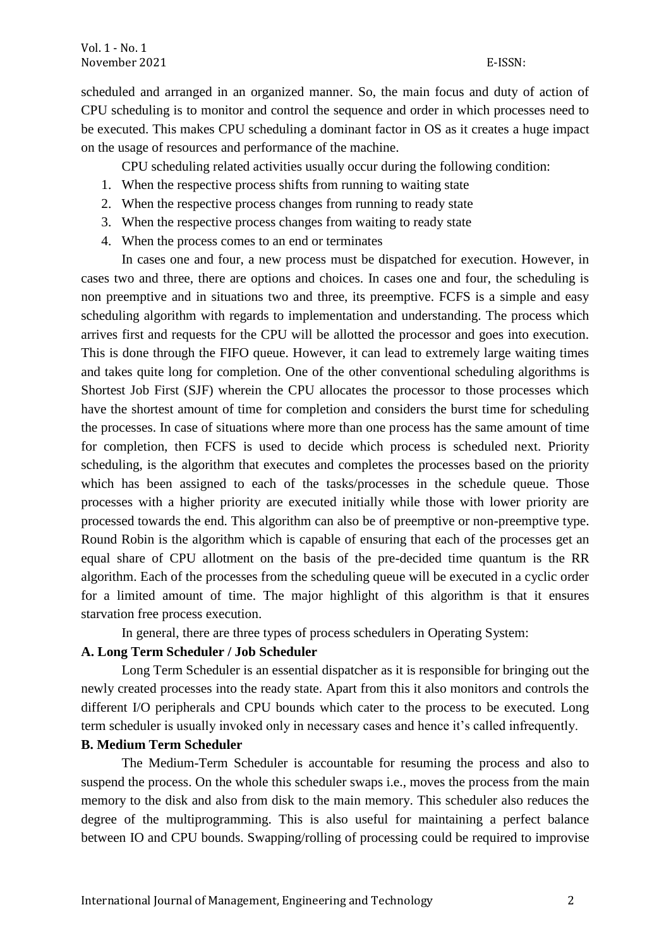scheduled and arranged in an organized manner. So, the main focus and duty of action of CPU scheduling is to monitor and control the sequence and order in which processes need to be executed. This makes CPU scheduling a dominant factor in OS as it creates a huge impact on the usage of resources and performance of the machine.

CPU scheduling related activities usually occur during the following condition:

- 1. When the respective process shifts from running to waiting state
- 2. When the respective process changes from running to ready state
- 3. When the respective process changes from waiting to ready state
- 4. When the process comes to an end or terminates

In cases one and four, a new process must be dispatched for execution. However, in cases two and three, there are options and choices. In cases one and four, the scheduling is non preemptive and in situations two and three, its preemptive. FCFS is a simple and easy scheduling algorithm with regards to implementation and understanding. The process which arrives first and requests for the CPU will be allotted the processor and goes into execution. This is done through the FIFO queue. However, it can lead to extremely large waiting times and takes quite long for completion. One of the other conventional scheduling algorithms is Shortest Job First (SJF) wherein the CPU allocates the processor to those processes which have the shortest amount of time for completion and considers the burst time for scheduling the processes. In case of situations where more than one process has the same amount of time for completion, then FCFS is used to decide which process is scheduled next. Priority scheduling, is the algorithm that executes and completes the processes based on the priority which has been assigned to each of the tasks/processes in the schedule queue. Those processes with a higher priority are executed initially while those with lower priority are processed towards the end. This algorithm can also be of preemptive or non-preemptive type. Round Robin is the algorithm which is capable of ensuring that each of the processes get an equal share of CPU allotment on the basis of the pre-decided time quantum is the RR algorithm. Each of the processes from the scheduling queue will be executed in a cyclic order for a limited amount of time. The major highlight of this algorithm is that it ensures starvation free process execution.

In general, there are three types of process schedulers in Operating System:

#### **A. Long Term Scheduler / Job Scheduler**

Long Term Scheduler is an essential dispatcher as it is responsible for bringing out the newly created processes into the ready state. Apart from this it also monitors and controls the different I/O peripherals and CPU bounds which cater to the process to be executed. Long term scheduler is usually invoked only in necessary cases and hence it's called infrequently.

#### **B. Medium Term Scheduler**

The Medium-Term Scheduler is accountable for resuming the process and also to suspend the process. On the whole this scheduler swaps i.e., moves the process from the main memory to the disk and also from disk to the main memory. This scheduler also reduces the degree of the multiprogramming. This is also useful for maintaining a perfect balance between IO and CPU bounds. Swapping/rolling of processing could be required to improvise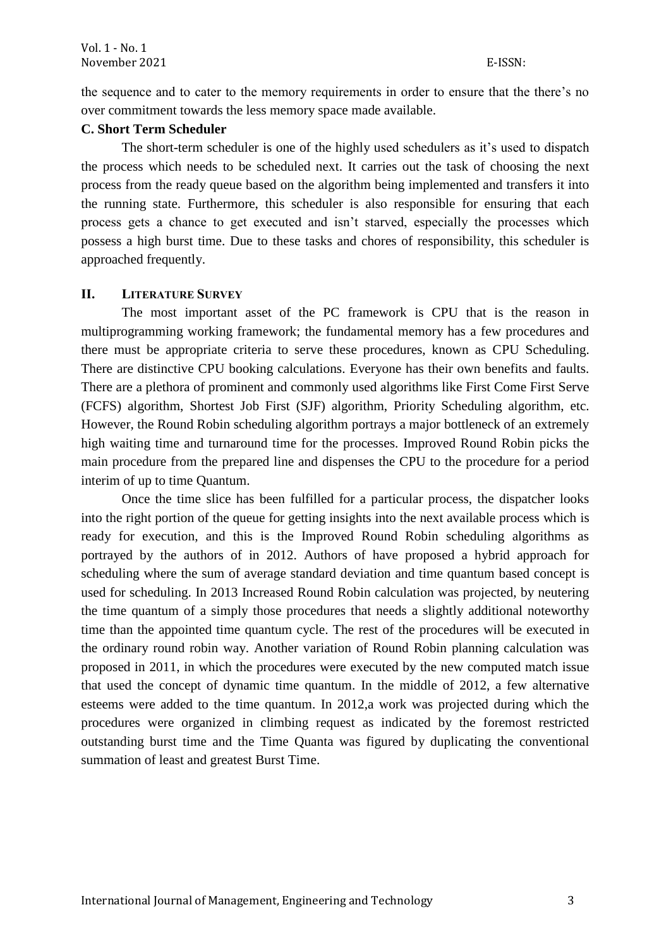the sequence and to cater to the memory requirements in order to ensure that the there's no over commitment towards the less memory space made available.

### **C. Short Term Scheduler**

The short-term scheduler is one of the highly used schedulers as it's used to dispatch the process which needs to be scheduled next. It carries out the task of choosing the next process from the ready queue based on the algorithm being implemented and transfers it into the running state. Furthermore, this scheduler is also responsible for ensuring that each process gets a chance to get executed and isn't starved, especially the processes which possess a high burst time. Due to these tasks and chores of responsibility, this scheduler is approached frequently.

# **II. LITERATURE SURVEY**

The most important asset of the PC framework is CPU that is the reason in multiprogramming working framework; the fundamental memory has a few procedures and there must be appropriate criteria to serve these procedures, known as CPU Scheduling. There are distinctive CPU booking calculations. Everyone has their own benefits and faults. There are a plethora of prominent and commonly used algorithms like First Come First Serve (FCFS) algorithm, Shortest Job First (SJF) algorithm, Priority Scheduling algorithm, etc. However, the Round Robin scheduling algorithm portrays a major bottleneck of an extremely high waiting time and turnaround time for the processes. Improved Round Robin picks the main procedure from the prepared line and dispenses the CPU to the procedure for a period interim of up to time Quantum.

Once the time slice has been fulfilled for a particular process, the dispatcher looks into the right portion of the queue for getting insights into the next available process which is ready for execution, and this is the Improved Round Robin scheduling algorithms as portrayed by the authors of in 2012. Authors of have proposed a hybrid approach for scheduling where the sum of average standard deviation and time quantum based concept is used for scheduling. In 2013 Increased Round Robin calculation was projected, by neutering the time quantum of a simply those procedures that needs a slightly additional noteworthy time than the appointed time quantum cycle. The rest of the procedures will be executed in the ordinary round robin way. Another variation of Round Robin planning calculation was proposed in 2011, in which the procedures were executed by the new computed match issue that used the concept of dynamic time quantum. In the middle of 2012, a few alternative esteems were added to the time quantum. In 2012,a work was projected during which the procedures were organized in climbing request as indicated by the foremost restricted outstanding burst time and the Time Quanta was figured by duplicating the conventional summation of least and greatest Burst Time.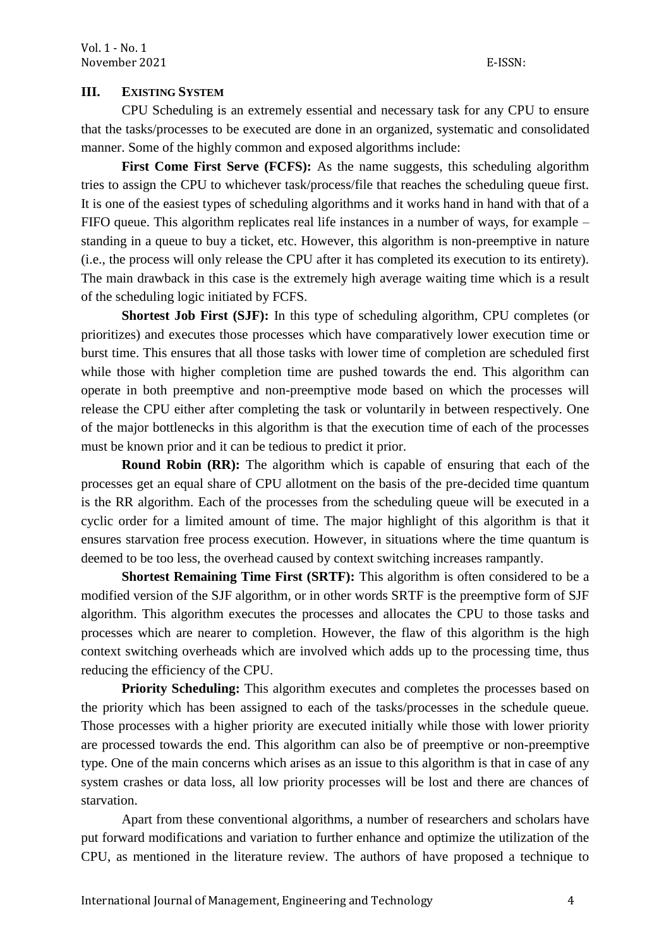# **III. EXISTING SYSTEM**

CPU Scheduling is an extremely essential and necessary task for any CPU to ensure that the tasks/processes to be executed are done in an organized, systematic and consolidated manner. Some of the highly common and exposed algorithms include:

**First Come First Serve (FCFS):** As the name suggests, this scheduling algorithm tries to assign the CPU to whichever task/process/file that reaches the scheduling queue first. It is one of the easiest types of scheduling algorithms and it works hand in hand with that of a FIFO queue. This algorithm replicates real life instances in a number of ways, for example – standing in a queue to buy a ticket, etc. However, this algorithm is non-preemptive in nature (i.e., the process will only release the CPU after it has completed its execution to its entirety). The main drawback in this case is the extremely high average waiting time which is a result of the scheduling logic initiated by FCFS.

**Shortest Job First (SJF):** In this type of scheduling algorithm, CPU completes (or prioritizes) and executes those processes which have comparatively lower execution time or burst time. This ensures that all those tasks with lower time of completion are scheduled first while those with higher completion time are pushed towards the end. This algorithm can operate in both preemptive and non-preemptive mode based on which the processes will release the CPU either after completing the task or voluntarily in between respectively. One of the major bottlenecks in this algorithm is that the execution time of each of the processes must be known prior and it can be tedious to predict it prior.

**Round Robin (RR):** The algorithm which is capable of ensuring that each of the processes get an equal share of CPU allotment on the basis of the pre-decided time quantum is the RR algorithm. Each of the processes from the scheduling queue will be executed in a cyclic order for a limited amount of time. The major highlight of this algorithm is that it ensures starvation free process execution. However, in situations where the time quantum is deemed to be too less, the overhead caused by context switching increases rampantly.

**Shortest Remaining Time First (SRTF):** This algorithm is often considered to be a modified version of the SJF algorithm, or in other words SRTF is the preemptive form of SJF algorithm. This algorithm executes the processes and allocates the CPU to those tasks and processes which are nearer to completion. However, the flaw of this algorithm is the high context switching overheads which are involved which adds up to the processing time, thus reducing the efficiency of the CPU.

**Priority Scheduling:** This algorithm executes and completes the processes based on the priority which has been assigned to each of the tasks/processes in the schedule queue. Those processes with a higher priority are executed initially while those with lower priority are processed towards the end. This algorithm can also be of preemptive or non-preemptive type. One of the main concerns which arises as an issue to this algorithm is that in case of any system crashes or data loss, all low priority processes will be lost and there are chances of starvation.

Apart from these conventional algorithms, a number of researchers and scholars have put forward modifications and variation to further enhance and optimize the utilization of the CPU, as mentioned in the literature review. The authors of have proposed a technique to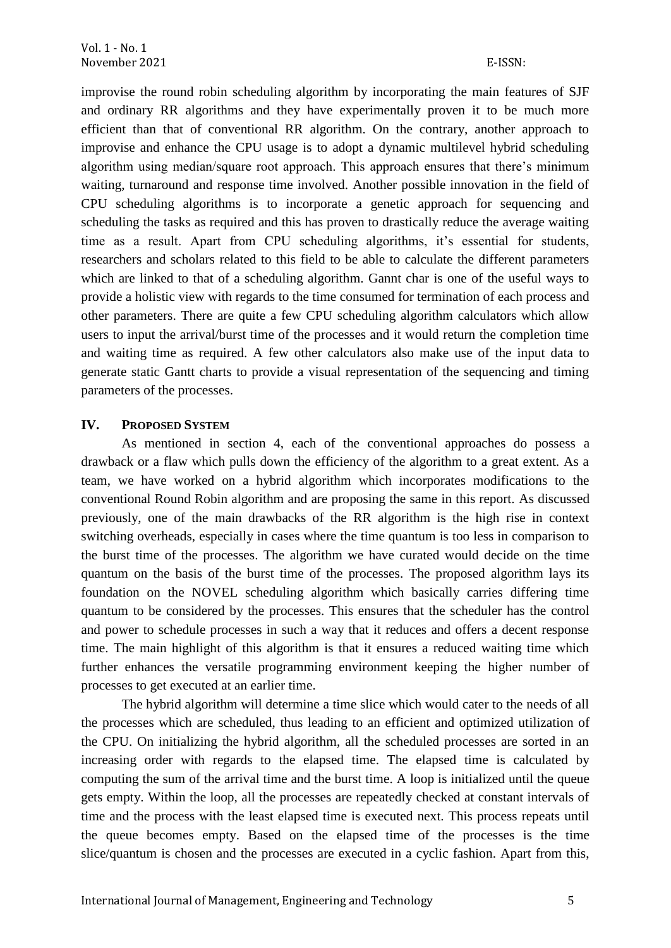improvise the round robin scheduling algorithm by incorporating the main features of SJF and ordinary RR algorithms and they have experimentally proven it to be much more efficient than that of conventional RR algorithm. On the contrary, another approach to improvise and enhance the CPU usage is to adopt a dynamic multilevel hybrid scheduling algorithm using median/square root approach. This approach ensures that there's minimum waiting, turnaround and response time involved. Another possible innovation in the field of CPU scheduling algorithms is to incorporate a genetic approach for sequencing and scheduling the tasks as required and this has proven to drastically reduce the average waiting time as a result. Apart from CPU scheduling algorithms, it's essential for students, researchers and scholars related to this field to be able to calculate the different parameters which are linked to that of a scheduling algorithm. Gannt char is one of the useful ways to provide a holistic view with regards to the time consumed for termination of each process and other parameters. There are quite a few CPU scheduling algorithm calculators which allow users to input the arrival/burst time of the processes and it would return the completion time and waiting time as required. A few other calculators also make use of the input data to generate static Gantt charts to provide a visual representation of the sequencing and timing parameters of the processes.

### **IV. PROPOSED SYSTEM**

As mentioned in section 4, each of the conventional approaches do possess a drawback or a flaw which pulls down the efficiency of the algorithm to a great extent. As a team, we have worked on a hybrid algorithm which incorporates modifications to the conventional Round Robin algorithm and are proposing the same in this report. As discussed previously, one of the main drawbacks of the RR algorithm is the high rise in context switching overheads, especially in cases where the time quantum is too less in comparison to the burst time of the processes. The algorithm we have curated would decide on the time quantum on the basis of the burst time of the processes. The proposed algorithm lays its foundation on the NOVEL scheduling algorithm which basically carries differing time quantum to be considered by the processes. This ensures that the scheduler has the control and power to schedule processes in such a way that it reduces and offers a decent response time. The main highlight of this algorithm is that it ensures a reduced waiting time which further enhances the versatile programming environment keeping the higher number of processes to get executed at an earlier time.

The hybrid algorithm will determine a time slice which would cater to the needs of all the processes which are scheduled, thus leading to an efficient and optimized utilization of the CPU. On initializing the hybrid algorithm, all the scheduled processes are sorted in an increasing order with regards to the elapsed time. The elapsed time is calculated by computing the sum of the arrival time and the burst time. A loop is initialized until the queue gets empty. Within the loop, all the processes are repeatedly checked at constant intervals of time and the process with the least elapsed time is executed next. This process repeats until the queue becomes empty. Based on the elapsed time of the processes is the time slice/quantum is chosen and the processes are executed in a cyclic fashion. Apart from this,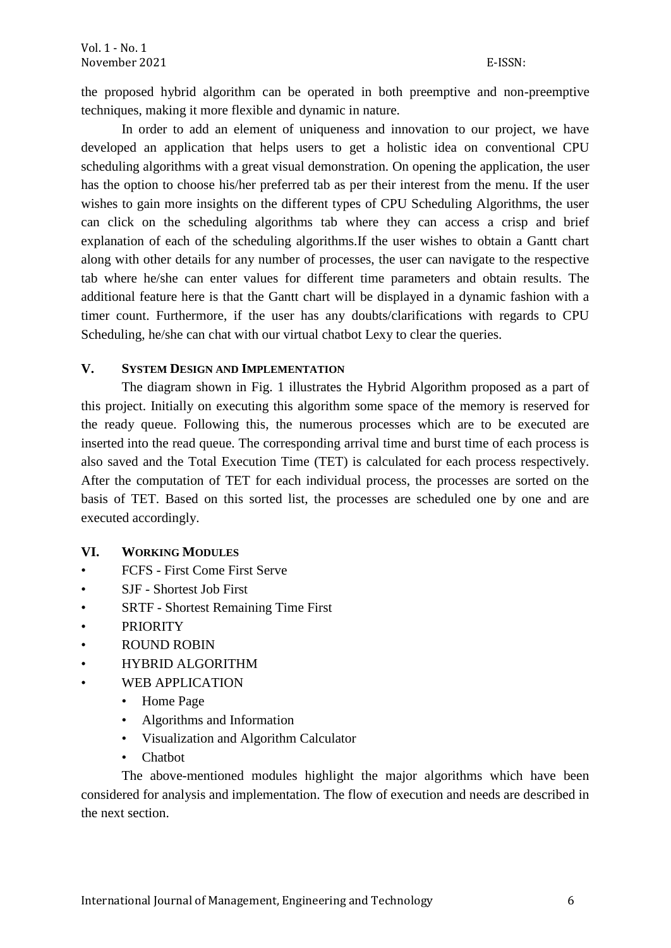the proposed hybrid algorithm can be operated in both preemptive and non-preemptive techniques, making it more flexible and dynamic in nature.

In order to add an element of uniqueness and innovation to our project, we have developed an application that helps users to get a holistic idea on conventional CPU scheduling algorithms with a great visual demonstration. On opening the application, the user has the option to choose his/her preferred tab as per their interest from the menu. If the user wishes to gain more insights on the different types of CPU Scheduling Algorithms, the user can click on the scheduling algorithms tab where they can access a crisp and brief explanation of each of the scheduling algorithms.If the user wishes to obtain a Gantt chart along with other details for any number of processes, the user can navigate to the respective tab where he/she can enter values for different time parameters and obtain results. The additional feature here is that the Gantt chart will be displayed in a dynamic fashion with a timer count. Furthermore, if the user has any doubts/clarifications with regards to CPU Scheduling, he/she can chat with our virtual chatbot Lexy to clear the queries.

### **V. SYSTEM DESIGN AND IMPLEMENTATION**

The diagram shown in Fig. 1 illustrates the Hybrid Algorithm proposed as a part of this project. Initially on executing this algorithm some space of the memory is reserved for the ready queue. Following this, the numerous processes which are to be executed are inserted into the read queue. The corresponding arrival time and burst time of each process is also saved and the Total Execution Time (TET) is calculated for each process respectively. After the computation of TET for each individual process, the processes are sorted on the basis of TET. Based on this sorted list, the processes are scheduled one by one and are executed accordingly.

# **VI. WORKING MODULES**

- FCFS First Come First Serve
- SJF Shortest Job First
- SRTF Shortest Remaining Time First
- **PRIORITY**
- ROUND ROBIN
- HYBRID ALGORITHM
- WEB APPLICATION
	- Home Page
	- Algorithms and Information
	- Visualization and Algorithm Calculator
	- **Chatbot**

The above-mentioned modules highlight the major algorithms which have been considered for analysis and implementation. The flow of execution and needs are described in the next section.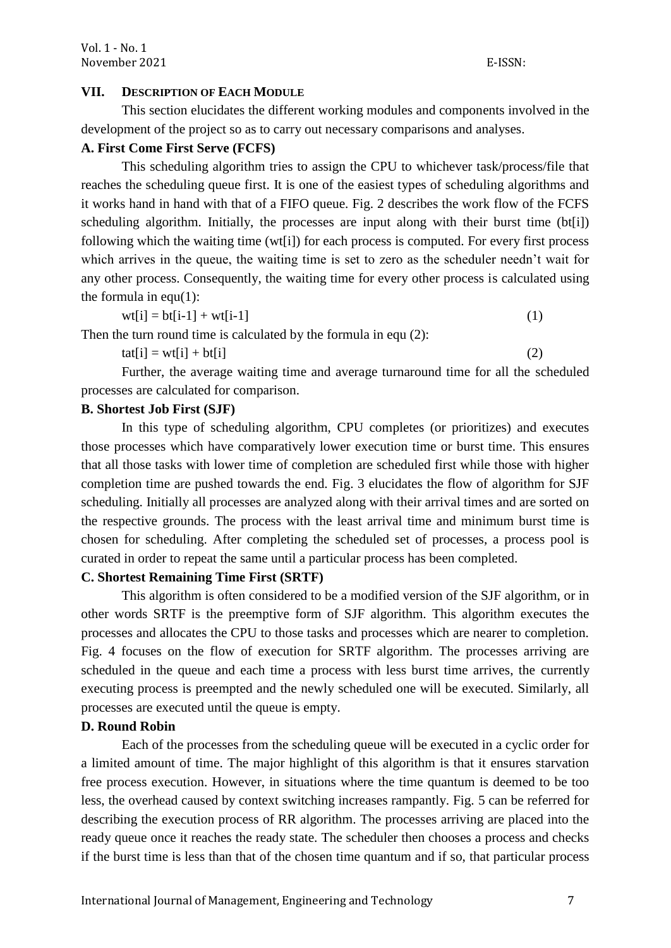#### **VII. DESCRIPTION OF EACH MODULE**

This section elucidates the different working modules and components involved in the development of the project so as to carry out necessary comparisons and analyses.

# **A. First Come First Serve (FCFS)**

This scheduling algorithm tries to assign the CPU to whichever task/process/file that reaches the scheduling queue first. It is one of the easiest types of scheduling algorithms and it works hand in hand with that of a FIFO queue. Fig. 2 describes the work flow of the FCFS scheduling algorithm. Initially, the processes are input along with their burst time (bt[i]) following which the waiting time (wt[i]) for each process is computed. For every first process which arrives in the queue, the waiting time is set to zero as the scheduler needn't wait for any other process. Consequently, the waiting time for every other process is calculated using the formula in equ $(1)$ :

 $wt[i] = bt[i-1] + wt[i-1]$  (1)

Then the turn round time is calculated by the formula in equ (2):

 $\text{tat}[i] = \text{wt}[i] + \text{bt}[i]$  (2)

Further, the average waiting time and average turnaround time for all the scheduled processes are calculated for comparison.

#### **B. Shortest Job First (SJF)**

In this type of scheduling algorithm, CPU completes (or prioritizes) and executes those processes which have comparatively lower execution time or burst time. This ensures that all those tasks with lower time of completion are scheduled first while those with higher completion time are pushed towards the end. Fig. 3 elucidates the flow of algorithm for SJF scheduling. Initially all processes are analyzed along with their arrival times and are sorted on the respective grounds. The process with the least arrival time and minimum burst time is chosen for scheduling. After completing the scheduled set of processes, a process pool is curated in order to repeat the same until a particular process has been completed.

### **C. Shortest Remaining Time First (SRTF)**

This algorithm is often considered to be a modified version of the SJF algorithm, or in other words SRTF is the preemptive form of SJF algorithm. This algorithm executes the processes and allocates the CPU to those tasks and processes which are nearer to completion. Fig. 4 focuses on the flow of execution for SRTF algorithm. The processes arriving are scheduled in the queue and each time a process with less burst time arrives, the currently executing process is preempted and the newly scheduled one will be executed. Similarly, all processes are executed until the queue is empty.

#### **D. Round Robin**

Each of the processes from the scheduling queue will be executed in a cyclic order for a limited amount of time. The major highlight of this algorithm is that it ensures starvation free process execution. However, in situations where the time quantum is deemed to be too less, the overhead caused by context switching increases rampantly. Fig. 5 can be referred for describing the execution process of RR algorithm. The processes arriving are placed into the ready queue once it reaches the ready state. The scheduler then chooses a process and checks if the burst time is less than that of the chosen time quantum and if so, that particular process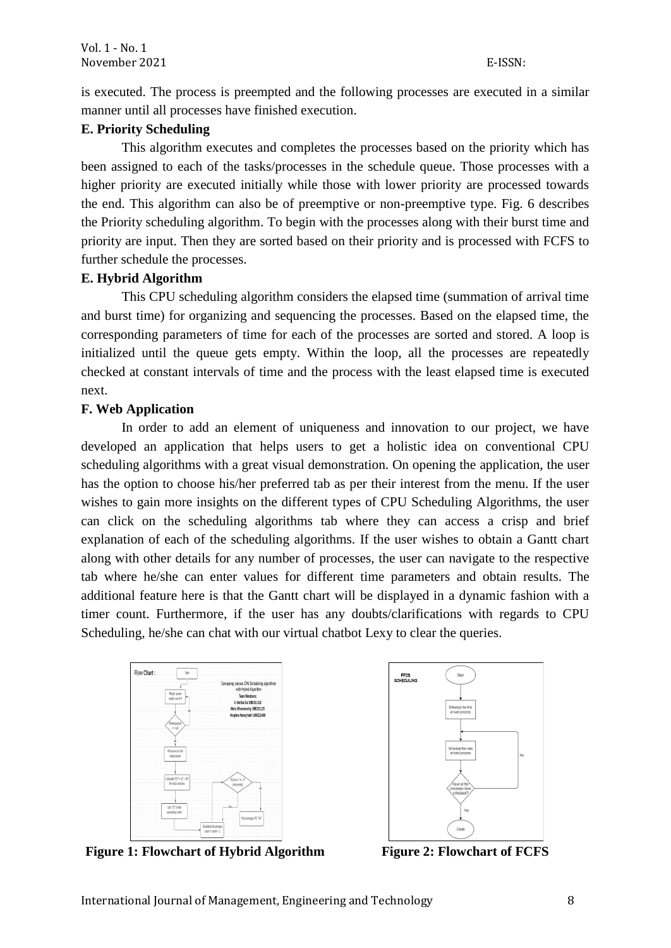is executed. The process is preempted and the following processes are executed in a similar manner until all processes have finished execution.

# **E. Priority Scheduling**

This algorithm executes and completes the processes based on the priority which has been assigned to each of the tasks/processes in the schedule queue. Those processes with a higher priority are executed initially while those with lower priority are processed towards the end. This algorithm can also be of preemptive or non-preemptive type. Fig. 6 describes the Priority scheduling algorithm. To begin with the processes along with their burst time and priority are input. Then they are sorted based on their priority and is processed with FCFS to further schedule the processes.

### **E. Hybrid Algorithm**

This CPU scheduling algorithm considers the elapsed time (summation of arrival time and burst time) for organizing and sequencing the processes. Based on the elapsed time, the corresponding parameters of time for each of the processes are sorted and stored. A loop is initialized until the queue gets empty. Within the loop, all the processes are repeatedly checked at constant intervals of time and the process with the least elapsed time is executed next.

# **F. Web Application**

In order to add an element of uniqueness and innovation to our project, we have developed an application that helps users to get a holistic idea on conventional CPU scheduling algorithms with a great visual demonstration. On opening the application, the user has the option to choose his/her preferred tab as per their interest from the menu. If the user wishes to gain more insights on the different types of CPU Scheduling Algorithms, the user can click on the scheduling algorithms tab where they can access a crisp and brief explanation of each of the scheduling algorithms. If the user wishes to obtain a Gantt chart along with other details for any number of processes, the user can navigate to the respective tab where he/she can enter values for different time parameters and obtain results. The additional feature here is that the Gantt chart will be displayed in a dynamic fashion with a timer count. Furthermore, if the user has any doubts/clarifications with regards to CPU Scheduling, he/she can chat with our virtual chatbot Lexy to clear the queries.





**Figure 1: Flowchart of Hybrid Algorithm Figure 2: Flowchart of FCFS**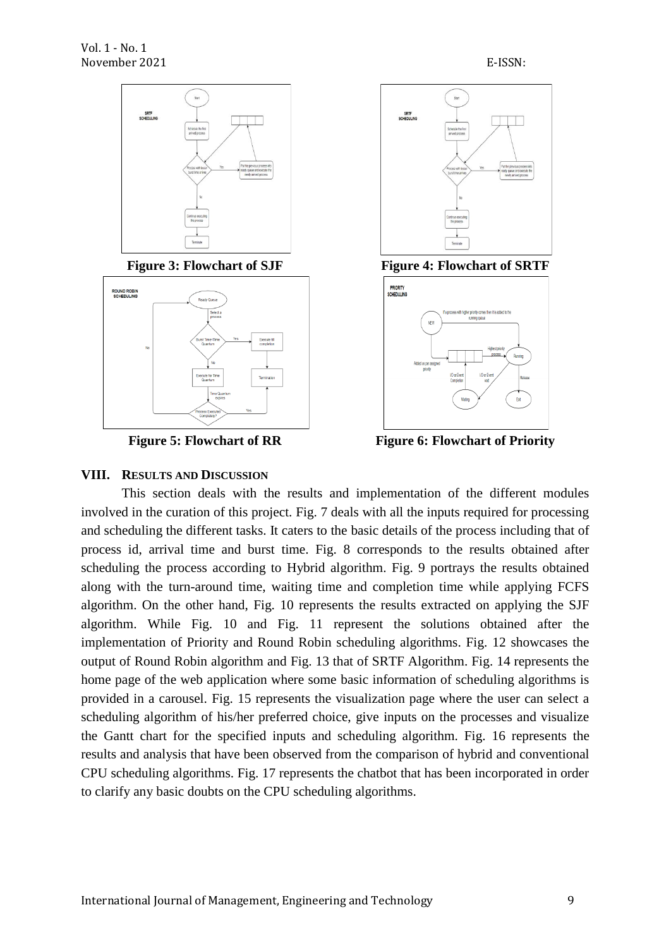









**Figure 5: Flowchart of RR Figure 6: Flowchart of Priority** 

# **VIII. RESULTS AND DISCUSSION**

This section deals with the results and implementation of the different modules involved in the curation of this project. Fig. 7 deals with all the inputs required for processing and scheduling the different tasks. It caters to the basic details of the process including that of process id, arrival time and burst time. Fig. 8 corresponds to the results obtained after scheduling the process according to Hybrid algorithm. Fig. 9 portrays the results obtained along with the turn-around time, waiting time and completion time while applying FCFS algorithm. On the other hand, Fig. 10 represents the results extracted on applying the SJF algorithm. While Fig. 10 and Fig. 11 represent the solutions obtained after the implementation of Priority and Round Robin scheduling algorithms. Fig. 12 showcases the output of Round Robin algorithm and Fig. 13 that of SRTF Algorithm. Fig. 14 represents the home page of the web application where some basic information of scheduling algorithms is provided in a carousel. Fig. 15 represents the visualization page where the user can select a scheduling algorithm of his/her preferred choice, give inputs on the processes and visualize the Gantt chart for the specified inputs and scheduling algorithm. Fig. 16 represents the results and analysis that have been observed from the comparison of hybrid and conventional CPU scheduling algorithms. Fig. 17 represents the chatbot that has been incorporated in order to clarify any basic doubts on the CPU scheduling algorithms.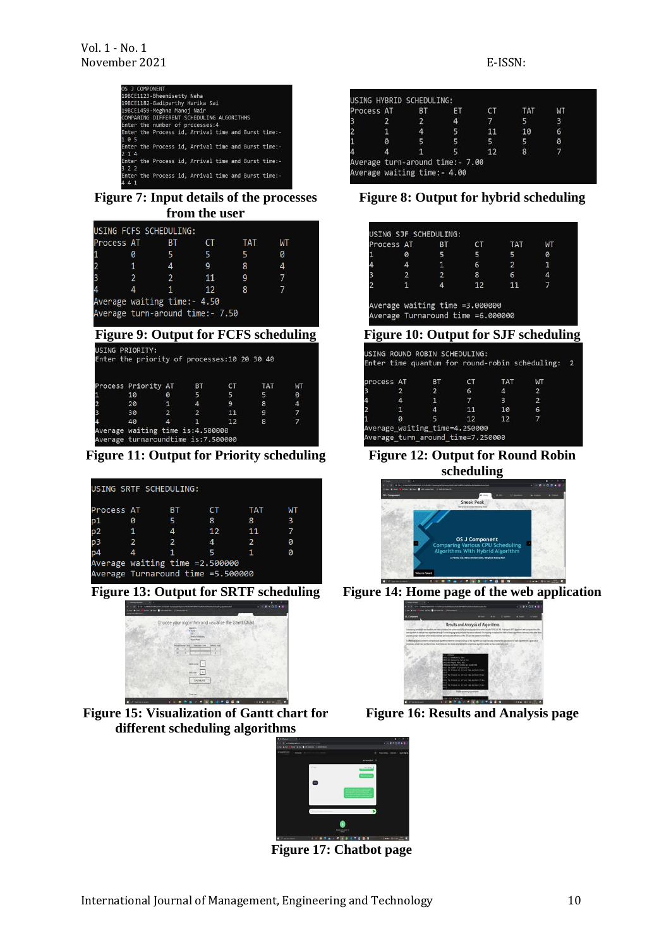| OS J COMPONENT                                             |  |  |  |
|------------------------------------------------------------|--|--|--|
| 19BCE1123-Bheemisetty Neha                                 |  |  |  |
| 19BCE1182-Gadiparthy Harika Sai                            |  |  |  |
| 19BCE1459-Meghna Manoj Nair                                |  |  |  |
| COMPARING DIFFERENT SCHEDULING ALGORITHMS                  |  |  |  |
| Enter the number of processes:4                            |  |  |  |
| Enter the Process id, Arrival time and Burst time:-<br>105 |  |  |  |
| Enter the Process id, Arrival time and Burst time:-<br>214 |  |  |  |
| Enter the Process id, Arrival time and Burst time:-<br>322 |  |  |  |
| Enter the Process id, Arrival time and Burst time:-<br>441 |  |  |  |

**Figure 7: Input details of the processes from the user**

|                | USING FCFS SCHEDULING:                       |                |                |           |            |           |  |
|----------------|----------------------------------------------|----------------|----------------|-----------|------------|-----------|--|
| Process AT     |                                              | ВT             | CT.            |           | TAT        | WТ        |  |
|                | 0                                            | 5.             | 5.             | 5.        |            | 0         |  |
| $\overline{2}$ | 1                                            | 4              | 9              | 8         |            | 4         |  |
| 3              | $\overline{2}$                               | $\mathbf{2}$   | 11             | 9         |            | 7         |  |
| 4              | 4                                            | $\mathbf{1}$   | 12             | 8         |            | 7         |  |
|                | Average waiting time:- 4.50                  |                |                |           |            |           |  |
|                | Average turn-around time:- 7.50              |                |                |           |            |           |  |
|                | <b>Figure 9: Output for FCFS scheduling</b>  |                |                |           |            |           |  |
|                | USING PRIORITY:                              |                |                |           |            |           |  |
|                | Enter the priority of processes: 10 20 30 40 |                |                |           |            |           |  |
|                |                                              |                |                |           |            |           |  |
|                | Process Priority AT BT                       |                |                | <b>CT</b> | <b>TAT</b> | <b>WT</b> |  |
|                | 10                                           | 0              | 5.             | 5         | 5          | ø         |  |
|                | 20                                           | $\mathbf{1}$   | 4              | 9         | 8          | 4         |  |
|                | 30                                           | $\overline{2}$ | $\overline{2}$ | 11        | 9          | 7         |  |
|                | 40                                           | $\Delta$       | 1              | 12        | 8          | 7         |  |

Average waiting time is:4.500000<br>Average turnaroundtime is:7.500000

**Figure 11: Output for Priority scheduling Figure 12: Output for Round Robin** 

|            | USING SRTF SCHEDULING:            |               |    |               |    |
|------------|-----------------------------------|---------------|----|---------------|----|
| Process AT |                                   | <b>BT</b>     | cт | TAT           | WТ |
| p1         | 0                                 | 5             | 8  | 8             | 3  |
| .<br>p2    | 1                                 | 4             | 12 | 11            |    |
| .<br>p3    | $\overline{2}$                    | $\mathcal{P}$ | 4  | $\mathcal{P}$ | a  |
| p4         | $\overline{a}$                    | 1             | 5  | 1             | a  |
|            | Average waiting time =2.500000    |               |    |               |    |
|            | Average Turnaround time =5.500000 |               |    |               |    |



**Figure 15: Visualization of Gantt chart for different scheduling algorithms**



**Figure 17: Chatbot page**

#### USING HYBRID SCHEDULING: rocess AT **BT** ET CT WT TAT  $\frac{7}{11}$  $\overline{2}$  $\overline{4}$  $10$  $\overline{4}$  $\overline{\phantom{a}}$  $6\overline{6}$  $\overline{\phantom{a}}$  $\overline{\mathbf{5}}$  $\theta$  $12$  $\bf 8$  $\overline{a}$  $\overline{1}$ Average turn-around time:-7.00 Average waiting time:- 4.00

**Figure 8: Output for hybrid scheduling**

| Process AT     | ВT             | CТ                                | TAT            | МT |
|----------------|----------------|-----------------------------------|----------------|----|
| ø              | 5              | 5                                 | 5              | ø  |
| 4              | $\mathbf{1}$   | 6                                 | $\overline{2}$ | 1  |
| $\overline{2}$ | $\overline{2}$ | 8                                 | 6              |    |
| 1              | $\Delta$       | 12                                | 11             |    |
|                |                | Average waiting time =3.000000    |                |    |
|                |                | Average Turnaround time =6.000000 |                |    |

#### **Figure 10: Output for SJF scheduling**

|            |                       | Enter time quantum for round-robin scheduling: |                |            |                | 2 |
|------------|-----------------------|------------------------------------------------|----------------|------------|----------------|---|
| process AT |                       | <b>BT</b>                                      | <b>CT</b>      | <b>TAT</b> | <b>WT</b>      |   |
| 3          | 2                     | $\overline{2}$                                 | 6              | 4          | $\overline{2}$ |   |
| 4          | 4                     | æ                                              | $\overline{7}$ | 3          | $\overline{2}$ |   |
| 2          | $\sqrt{1}$            | $\overline{a}$                                 | 11             | 10         | 6              |   |
| 1          | $\boldsymbol{\theta}$ | ς                                              | 12             | 12         | 7              |   |
|            |                       | Average waiting_time=4.250000                  |                |            |                |   |

# **scheduling**



**Figure 13: Output for SRTF scheduling Figure 14: Home page of the web application**



**Figure 16: Results and Analysis page**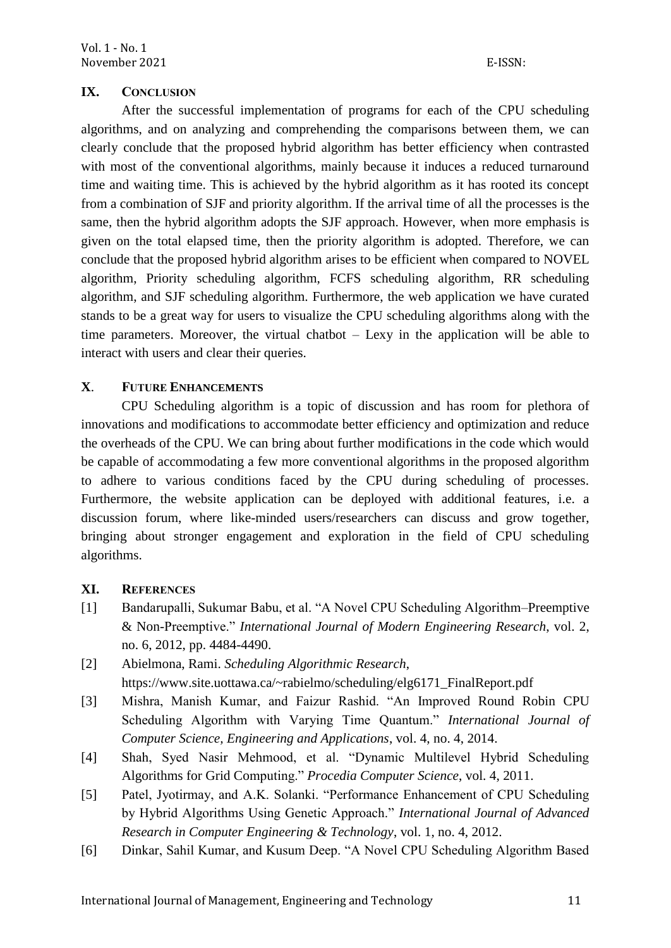# **IX. CONCLUSION**

After the successful implementation of programs for each of the CPU scheduling algorithms, and on analyzing and comprehending the comparisons between them, we can clearly conclude that the proposed hybrid algorithm has better efficiency when contrasted with most of the conventional algorithms, mainly because it induces a reduced turnaround time and waiting time. This is achieved by the hybrid algorithm as it has rooted its concept from a combination of SJF and priority algorithm. If the arrival time of all the processes is the same, then the hybrid algorithm adopts the SJF approach. However, when more emphasis is given on the total elapsed time, then the priority algorithm is adopted. Therefore, we can conclude that the proposed hybrid algorithm arises to be efficient when compared to NOVEL algorithm, Priority scheduling algorithm, FCFS scheduling algorithm, RR scheduling algorithm, and SJF scheduling algorithm. Furthermore, the web application we have curated stands to be a great way for users to visualize the CPU scheduling algorithms along with the time parameters. Moreover, the virtual chatbot – Lexy in the application will be able to interact with users and clear their queries.

# **X**. **FUTURE ENHANCEMENTS**

CPU Scheduling algorithm is a topic of discussion and has room for plethora of innovations and modifications to accommodate better efficiency and optimization and reduce the overheads of the CPU. We can bring about further modifications in the code which would be capable of accommodating a few more conventional algorithms in the proposed algorithm to adhere to various conditions faced by the CPU during scheduling of processes. Furthermore, the website application can be deployed with additional features, i.e. a discussion forum, where like-minded users/researchers can discuss and grow together, bringing about stronger engagement and exploration in the field of CPU scheduling algorithms.

### **XI. REFERENCES**

- [1] Bandarupalli, Sukumar Babu, et al. "A Novel CPU Scheduling Algorithm–Preemptive & Non-Preemptive." *International Journal of Modern Engineering Research*, vol. 2, no. 6, 2012, pp. 4484-4490.
- [2] Abielmona, Rami. *Scheduling Algorithmic Research*, https://www.site.uottawa.ca/~rabielmo/scheduling/elg6171\_FinalReport.pdf
- [3] Mishra, Manish Kumar, and Faizur Rashid. "An Improved Round Robin CPU Scheduling Algorithm with Varying Time Quantum." *International Journal of Computer Science, Engineering and Applications*, vol. 4, no. 4, 2014.
- [4] Shah, Syed Nasir Mehmood, et al. "Dynamic Multilevel Hybrid Scheduling Algorithms for Grid Computing." *Procedia Computer Science*, vol. 4, 2011.
- [5] Patel, Jyotirmay, and A.K. Solanki. "Performance Enhancement of CPU Scheduling by Hybrid Algorithms Using Genetic Approach." *International Journal of Advanced Research in Computer Engineering & Technology*, vol. 1, no. 4, 2012.
- [6] Dinkar, Sahil Kumar, and Kusum Deep. "A Novel CPU Scheduling Algorithm Based